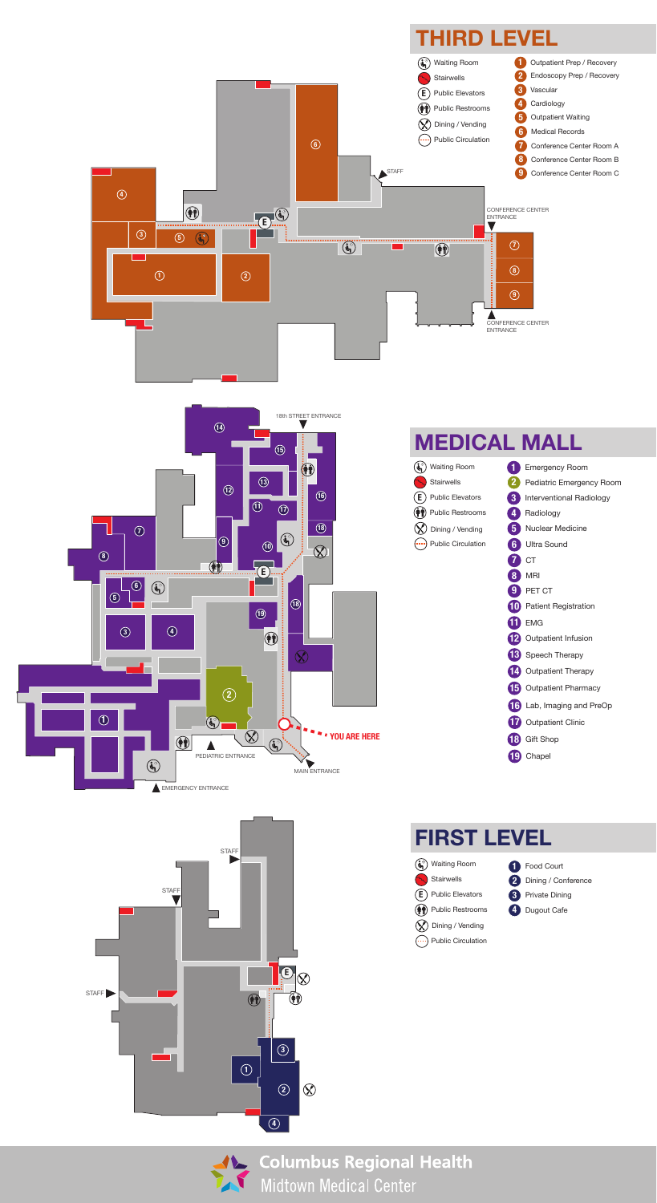



#### **THIRD LEVEL**



## **FIRST LEVEL**



**(iii)** Public Restrooms **W** Dining / Vending  $\left(\rightarrow\right)$  Public Circulation